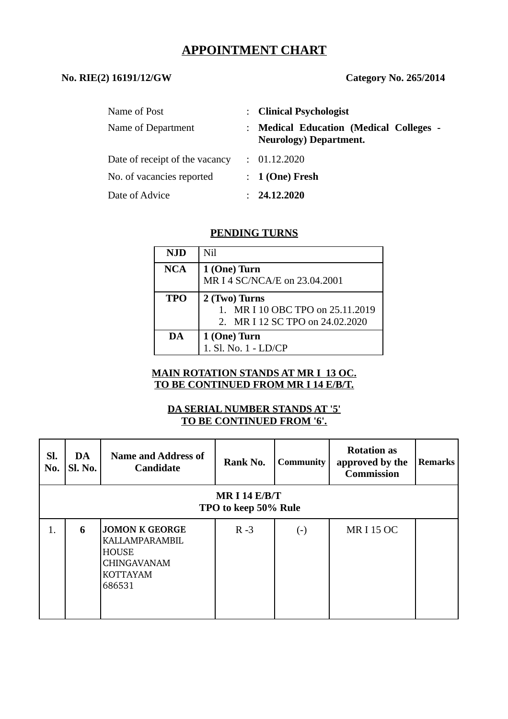# **APPOINTMENT CHART**

### **No. RIE(2) 16191/12/GW Category No. 265/2014**

| Name of Post                   | : Clinical Psychologist                                                       |
|--------------------------------|-------------------------------------------------------------------------------|
| Name of Department             | <b>Medical Education (Medical Colleges -</b><br><b>Neurology)</b> Department. |
| Date of receipt of the vacancy | : 01.12.2020                                                                  |
| No. of vacancies reported      | $: 1$ (One) Fresh                                                             |
| Date of Advice                 | : 24.12.2020                                                                  |

#### **PENDING TURNS**

| <b>NJD</b> | Nil                              |
|------------|----------------------------------|
| NCA        | 1 (One) Turn                     |
|            | MR I 4 SC/NCA/E on 23.04.2001    |
| <b>TPO</b> | 2 (Two) Turns                    |
|            | 1. MR I 10 OBC TPO on 25.11.2019 |
|            | 2. MR I 12 SC TPO on 24.02.2020  |
| DA         | 1 (One) Turn                     |
|            | 1. Sl. No. 1 - LD/CP             |

## **MAIN ROTATION STANDS AT MR I 13 OC. TO BE CONTINUED FROM MR I 14 E/B/T.**

## **DA SERIAL NUMBER STANDS AT '5' TO BE CONTINUED FROM '6'.**

| SI.<br>No.                              | DA<br>Sl. No. | <b>Name and Address of</b><br><b>Candidate</b>                                                             | Rank No. | <b>Community</b> | <b>Rotation as</b><br>approved by the<br><b>Commission</b> | <b>Remarks</b> |  |  |  |
|-----------------------------------------|---------------|------------------------------------------------------------------------------------------------------------|----------|------------------|------------------------------------------------------------|----------------|--|--|--|
| MR I 14 $E/B/T$<br>TPO to keep 50% Rule |               |                                                                                                            |          |                  |                                                            |                |  |  |  |
| 1.                                      | 6             | <b>JOMON K GEORGE</b><br>KALLAMPARAMBIL<br><b>HOUSE</b><br><b>CHINGAVANAM</b><br><b>KOTTAYAM</b><br>686531 | $R - 3$  | $(\cdot)$        | <b>MRI15 OC</b>                                            |                |  |  |  |